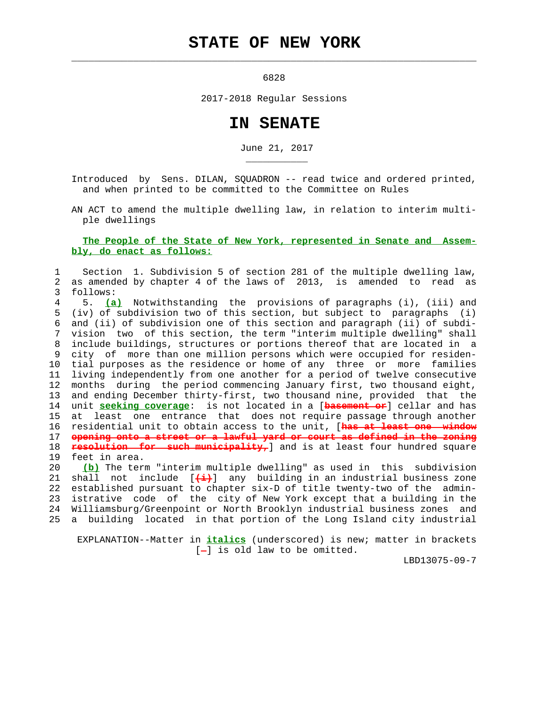## **STATE OF NEW YORK**

 $\mathcal{L}_\text{max} = \frac{1}{2} \sum_{i=1}^{n} \frac{1}{2} \sum_{i=1}^{n} \frac{1}{2} \sum_{i=1}^{n} \frac{1}{2} \sum_{i=1}^{n} \frac{1}{2} \sum_{i=1}^{n} \frac{1}{2} \sum_{i=1}^{n} \frac{1}{2} \sum_{i=1}^{n} \frac{1}{2} \sum_{i=1}^{n} \frac{1}{2} \sum_{i=1}^{n} \frac{1}{2} \sum_{i=1}^{n} \frac{1}{2} \sum_{i=1}^{n} \frac{1}{2} \sum_{i=1}^{n} \frac{1$ 

\_\_\_\_\_\_\_\_\_\_\_

6828

2017-2018 Regular Sessions

## **IN SENATE**

June 21, 2017

 Introduced by Sens. DILAN, SQUADRON -- read twice and ordered printed, and when printed to be committed to the Committee on Rules

 AN ACT to amend the multiple dwelling law, in relation to interim multi ple dwellings

## **The People of the State of New York, represented in Senate and Assem bly, do enact as follows:**

 1 Section 1. Subdivision 5 of section 281 of the multiple dwelling law, 2 as amended by chapter 4 of the laws of 2013, is amended to read as 3 follows:

 4 5. **(a)** Notwithstanding the provisions of paragraphs (i), (iii) and 5 (iv) of subdivision two of this section, but subject to paragraphs (i) 6 and (ii) of subdivision one of this section and paragraph (ii) of subdi- 7 vision two of this section, the term "interim multiple dwelling" shall 8 include buildings, structures or portions thereof that are located in a 9 city of more than one million persons which were occupied for residen- 10 tial purposes as the residence or home of any three or more families 11 living independently from one another for a period of twelve consecutive 12 months during the period commencing January first, two thousand eight, 13 and ending December thirty-first, two thousand nine, provided that the 14 unit **seeking coverage**: is not located in a [**basement or**] cellar and has 15 at least one entrance that does not require passage through another 16 residential unit to obtain access to the unit, [**has at least one window** 17 **opening onto a street or a lawful yard or court as defined in the zoning** 18 **resolution for such municipality,**] and is at least four hundred square 19 feet in area.

 20 **(b)** The term "interim multiple dwelling" as used in this subdivision 21 shall not include [**(i)**] any building in an industrial business zone 22 established pursuant to chapter six-D of title twenty-two of the admin- 23 istrative code of the city of New York except that a building in the 24 Williamsburg/Greenpoint or North Brooklyn industrial business zones and 25 a building located in that portion of the Long Island city industrial

 EXPLANATION--Matter in **italics** (underscored) is new; matter in brackets  $[-]$  is old law to be omitted.

LBD13075-09-7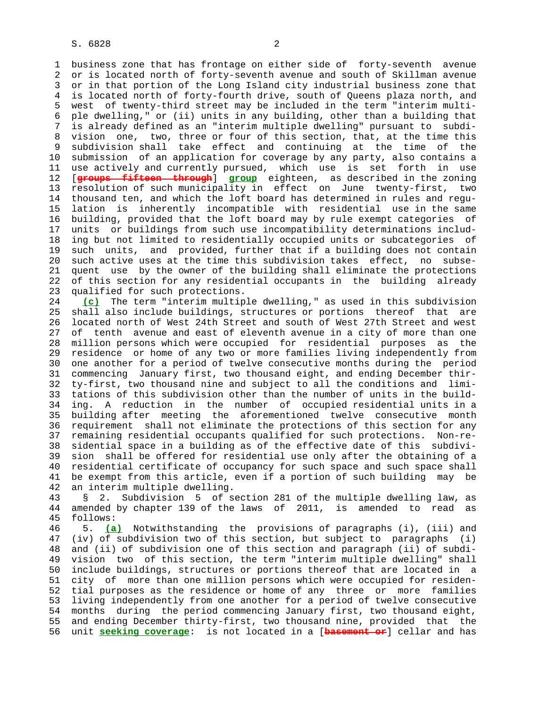1 business zone that has frontage on either side of forty-seventh avenue 2 or is located north of forty-seventh avenue and south of Skillman avenue 3 or in that portion of the Long Island city industrial business zone that 4 is located north of forty-fourth drive, south of Queens plaza north, and 5 west of twenty-third street may be included in the term "interim multi- 6 ple dwelling," or (ii) units in any building, other than a building that 7 is already defined as an "interim multiple dwelling" pursuant to subdi- 8 vision one, two, three or four of this section, that, at the time this<br>9 subdivision shall take effect and continuing at the time of the subdivision shall take effect and continuing at the time of the 10 submission of an application for coverage by any party, also contains a 11 use actively and currently pursued, which use is set forth in use 12 [**groups fifteen through**] **group** eighteen, as described in the zoning 13 resolution of such municipality in effect on June twenty-first, two 14 thousand ten, and which the loft board has determined in rules and regu- 15 lation is inherently incompatible with residential use in the same 16 building, provided that the loft board may by rule exempt categories of 17 units or buildings from such use incompatibility determinations includ- 18 ing but not limited to residentially occupied units or subcategories of 19 such units, and provided, further that if a building does not contain 20 such active uses at the time this subdivision takes effect, no subse- 21 quent use by the owner of the building shall eliminate the protections 22 of this section for any residential occupants in the building already 23 qualified for such protections.

 24 **(c)** The term "interim multiple dwelling," as used in this subdivision 25 shall also include buildings, structures or portions thereof that are 26 located north of West 24th Street and south of West 27th Street and west 27 of tenth avenue and east of eleventh avenue in a city of more than one 28 million persons which were occupied for residential purposes as the 29 residence or home of any two or more families living independently from 30 one another for a period of twelve consecutive months during the period 31 commencing January first, two thousand eight, and ending December thir- 32 ty-first, two thousand nine and subject to all the conditions and limi- 33 tations of this subdivision other than the number of units in the build- 34 ing. A reduction in the number of occupied residential units in a 35 building after meeting the aforementioned twelve consecutive month 36 requirement shall not eliminate the protections of this section for any 37 remaining residential occupants qualified for such protections. Non-re- 38 sidential space in a building as of the effective date of this subdivi- 39 sion shall be offered for residential use only after the obtaining of a 40 residential certificate of occupancy for such space and such space shall 41 be exempt from this article, even if a portion of such building may be 42 an interim multiple dwelling.

 43 § 2. Subdivision 5 of section 281 of the multiple dwelling law, as 44 amended by chapter 139 of the laws of 2011, is amended to read as 45 follows:

 46 5. **(a)** Notwithstanding the provisions of paragraphs (i), (iii) and 47 (iv) of subdivision two of this section, but subject to paragraphs (i) 48 and (ii) of subdivision one of this section and paragraph (ii) of subdi- 49 vision two of this section, the term "interim multiple dwelling" shall 50 include buildings, structures or portions thereof that are located in a 51 city of more than one million persons which were occupied for residen- 52 tial purposes as the residence or home of any three or more families 53 living independently from one another for a period of twelve consecutive 54 months during the period commencing January first, two thousand eight, 55 and ending December thirty-first, two thousand nine, provided that the 56 unit **seeking coverage**: is not located in a [**basement or**] cellar and has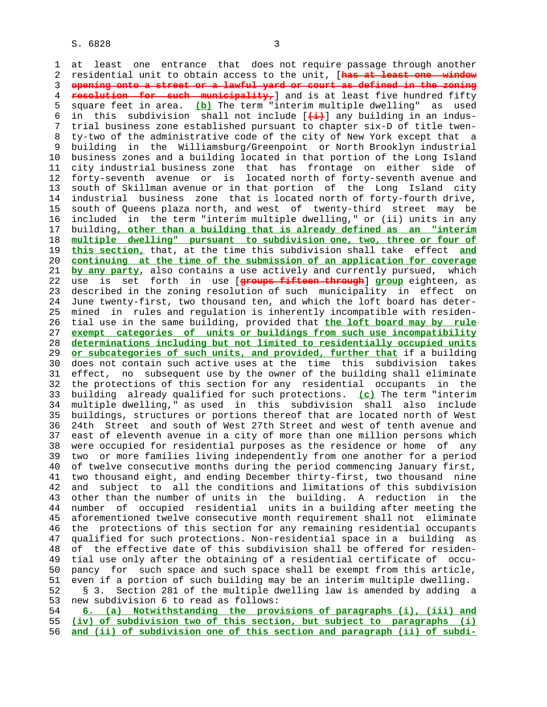1 at least one entrance that does not require passage through another 2 residential unit to obtain access to the unit, [**has at least one window** 3 **opening onto a street or a lawful yard or court as defined in the zoning** 4 **resolution for such municipality,**] and is at least five hundred fifty 5 square feet in area. **(b)** The term "interim multiple dwelling" as used 6 in this subdivision shall not include [**(i)**] any building in an indus- 7 trial business zone established pursuant to chapter six-D of title twen- 8 ty-two of the administrative code of the city of New York except that a 9 building in the Williamsburg/Greenpoint or North Brooklyn industrial 10 business zones and a building located in that portion of the Long Island 11 city industrial business zone that has frontage on either side of 12 forty-seventh avenue or is located north of forty-seventh avenue and 13 south of Skillman avenue or in that portion of the Long Island city 14 industrial business zone that is located north of forty-fourth drive, 15 south of Queens plaza north, and west of twenty-third street may be 16 included in the term "interim multiple dwelling," or (ii) units in any 17 building**, other than a building that is already defined as an "interim** 18 **multiple dwelling" pursuant to subdivision one, two, three or four of** 19 **this section,** that, at the time this subdivision shall take effect **and** 20 **continuing at the time of the submission of an application for coverage** 21 **by any party**, also contains a use actively and currently pursued, which 22 use is set forth in use [**groups fifteen through**] **group** eighteen, as 23 described in the zoning resolution of such municipality in effect on 24 June twenty-first, two thousand ten, and which the loft board has deter- 25 mined in rules and regulation is inherently incompatible with residen- 26 tial use in the same building, provided that **the loft board may by rule** 27 **exempt categories of units or buildings from such use incompatibility** 28 **determinations including but not limited to residentially occupied units** 29 **or subcategories of such units, and provided, further that** if a building 30 does not contain such active uses at the time this subdivision takes 31 effect, no subsequent use by the owner of the building shall eliminate 32 the protections of this section for any residential occupants in the 33 building already qualified for such protections. **(c)** The term "interim 34 multiple dwelling," as used in this subdivision shall also include 35 buildings, structures or portions thereof that are located north of West 36 24th Street and south of West 27th Street and west of tenth avenue and 37 east of eleventh avenue in a city of more than one million persons which 38 were occupied for residential purposes as the residence or home of any 39 two or more families living independently from one another for a period 40 of twelve consecutive months during the period commencing January first, 41 two thousand eight, and ending December thirty-first, two thousand nine 42 and subject to all the conditions and limitations of this subdivision 43 other than the number of units in the building. A reduction in the 44 number of occupied residential units in a building after meeting the 45 aforementioned twelve consecutive month requirement shall not eliminate 46 the protections of this section for any remaining residential occupants 47 qualified for such protections. Non-residential space in a building as 48 of the effective date of this subdivision shall be offered for residen- 49 tial use only after the obtaining of a residential certificate of occu- 50 pancy for such space and such space shall be exempt from this article, 51 even if a portion of such building may be an interim multiple dwelling. 52 § 3. Section 281 of the multiple dwelling law is amended by adding a 53 new subdivision 6 to read as follows: 54 **6. (a) Notwithstanding the provisions of paragraphs (i), (iii) and**

 55 **(iv) of subdivision two of this section, but subject to paragraphs (i)** 56 **and (ii) of subdivision one of this section and paragraph (ii) of subdi-**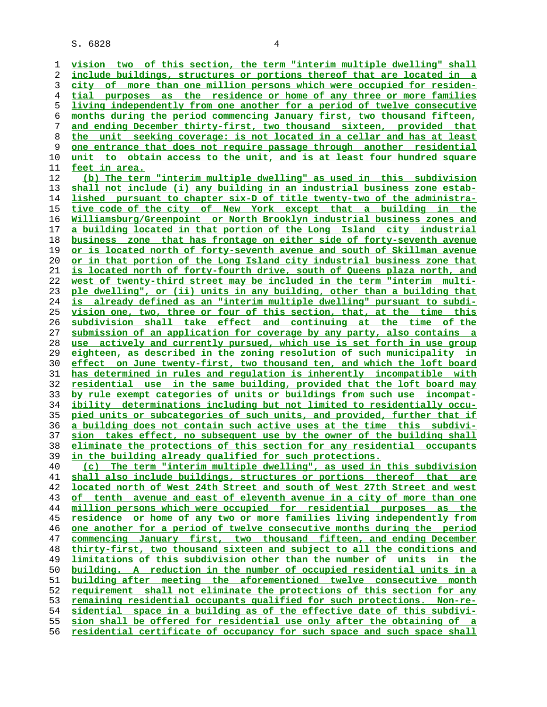S. 6828 4

**vision two of this section, the term "interim multiple dwelling" shall include buildings, structures or portions thereof that are located in a city of more than one million persons which were occupied for residen- tial purposes as the residence or home of any three or more families living independently from one another for a period of twelve consecutive months during the period commencing January first, two thousand fifteen, and ending December thirty-first, two thousand sixteen, provided that the unit seeking coverage: is not located in a cellar and has at least one entrance that does not require passage through another residential unit to obtain access to the unit, and is at least four hundred square feet in area. (b) The term "interim multiple dwelling" as used in this subdivision shall not include (i) any building in an industrial business zone estab lished pursuant to chapter six-D of title twenty-two of the administra-tive code of the city of New York except that a building in the Williamsburg/Greenpoint or North Brooklyn industrial business zones and a building located in that portion of the Long Island city industrial business zone that has frontage on either side of forty-seventh avenue or is located north of forty-seventh avenue and south of Skillman avenue or in that portion of the Long Island city industrial business zone that is located north of forty-fourth drive, south of Queens plaza north, and west of twenty-third street may be included in the term "interim multi- ple dwelling", or (ii) units in any building, other than a building that is already defined as an "interim multiple dwelling" pursuant to subdi- vision one, two, three or four of this section, that, at the time this subdivision shall take effect and continuing at the time of the submission of an application for coverage by any party, also contains a use actively and currently pursued, which use is set forth in use group eighteen, as described in the zoning resolution of such municipality in effect on June twenty-first, two thousand ten, and which the loft board has determined in rules and regulation is inherently incompatible with residential use in the same building, provided that the loft board may by rule exempt categories of units or buildings from such use incompat- ibility determinations including but not limited to residentially occu- pied units or subcategories of such units, and provided, further that if a building does not contain such active uses at the time this subdivi- sion takes effect, no subsequent use by the owner of the building shall eliminate the protections of this section for any residential occupants in the building already qualified for such protections. (c) The term "interim multiple dwelling", as used in this subdivision shall also include buildings, structures or portions thereof that are located north of West 24th Street and south of West 27th Street and west of tenth avenue and east of eleventh avenue in a city of more than one million persons which were occupied for residential purposes as the residence or home of any two or more families living independently from one another for a period of twelve consecutive months during the period commencing January first, two thousand fifteen, and ending December thirty-first, two thousand sixteen and subject to all the conditions and limitations of this subdivision other than the number of units in the building. A reduction in the number of occupied residential units in a building after meeting the aforementioned twelve consecutive month requirement shall not eliminate the protections of this section for any remaining residential occupants qualified for such protections. Non-re-**

**sidential space in a building as of the effective date of this subdivi- sion shall be offered for residential use only after the obtaining of a residential certificate of occupancy for such space and such space shall**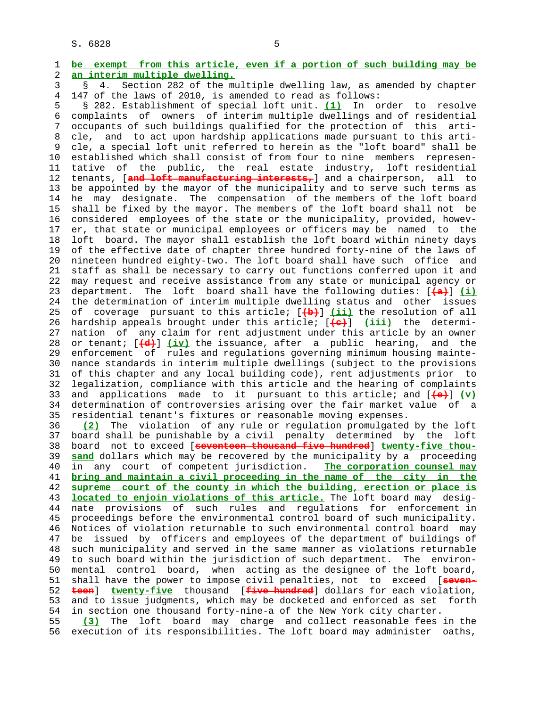1 **be exempt from this article, even if a portion of such building may be** 2 **an interim multiple dwelling.**

 3 § 4. Section 282 of the multiple dwelling law, as amended by chapter 4 147 of the laws of 2010, is amended to read as follows:

 5 § 282. Establishment of special loft unit. **(1)** In order to resolve 6 complaints of owners of interim multiple dwellings and of residential 7 occupants of such buildings qualified for the protection of this arti- 8 cle, and to act upon hardship applications made pursuant to this arti-<br>9 cle, a special loft unit referred to herein as the "loft board" shall be 9 cle, a special loft unit referred to herein as the "loft board" shall be 10 established which shall consist of from four to nine members represen- 11 tative of the public, the real estate industry, loft residential 12 tenants, [**and loft manufacturing interests,**] and a chairperson, all to 13 be appointed by the mayor of the municipality and to serve such terms as 14 he may designate. The compensation of the members of the loft board 15 shall be fixed by the mayor. The members of the loft board shall not be 16 considered employees of the state or the municipality, provided, howev- 17 er, that state or municipal employees or officers may be named to the 18 loft board. The mayor shall establish the loft board within ninety days 19 of the effective date of chapter three hundred forty-nine of the laws of 20 nineteen hundred eighty-two. The loft board shall have such office and 21 staff as shall be necessary to carry out functions conferred upon it and 22 may request and receive assistance from any state or municipal agency or 23 department. The loft board shall have the following duties: [**(a)**] **(i)** 24 the determination of interim multiple dwelling status and other issues 25 of coverage pursuant to this article; [**(b)**] **(ii)** the resolution of all 26 hardship appeals brought under this article; [**(c)**] **(iii)** the determi- 27 nation of any claim for rent adjustment under this article by an owner 28 or tenant; [**(d)**] **(iv)** the issuance, after a public hearing, and the 29 enforcement of rules and regulations governing minimum housing mainte- 30 nance standards in interim multiple dwellings (subject to the provisions 31 of this chapter and any local building code), rent adjustments prior to 32 legalization, compliance with this article and the hearing of complaints 33 and applications made to it pursuant to this article; and [**(e)**] **(v)** 34 determination of controversies arising over the fair market value of a 35 residential tenant's fixtures or reasonable moving expenses. 36 **(2)** The violation of any rule or regulation promulgated by the loft 37 board shall be punishable by a civil penalty determined by the loft 38 board not to exceed [**seventeen thousand five hundred**] **twenty-five thou-** 39 **sand** dollars which may be recovered by the municipality by a proceeding 40 in any court of competent jurisdiction. **The corporation counsel may** 41 **bring and maintain a civil proceeding in the name of the city in the** 42 **supreme court of the county in which the building, erection or place is** 43 **located to enjoin violations of this article.** The loft board may desig- 44 nate provisions of such rules and regulations for enforcement in 45 proceedings before the environmental control board of such municipality. 46 Notices of violation returnable to such environmental control board may 47 be issued by officers and employees of the department of buildings of 48 such municipality and served in the same manner as violations returnable 49 to such board within the jurisdiction of such department. The environ-

 51 shall have the power to impose civil penalties, not to exceed [**seven-** 52 **teen**] **twenty-five** thousand [**five hundred**] dollars for each violation, 53 and to issue judgments, which may be docketed and enforced as set forth 54 in section one thousand forty-nine-a of the New York city charter.

50 mental control board, when acting as the designee of the loft board,

 55 **(3)** The loft board may charge and collect reasonable fees in the 56 execution of its responsibilities. The loft board may administer oaths,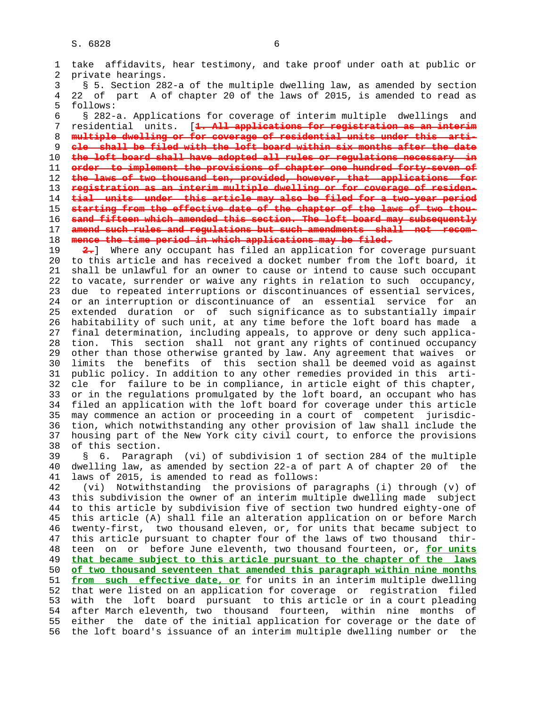1 take affidavits, hear testimony, and take proof under oath at public or 2 private hearings. 3 § 5. Section 282-a of the multiple dwelling law, as amended by section 4 22 of part A of chapter 20 of the laws of 2015, is amended to read as 5 follows: 6 § 282-a. Applications for coverage of interim multiple dwellings and 7 residential units. [**1. All applications for registration as an interim** 8 **multiple dwelling or for coverage of residential units under this arti-** 9 **cle shall be filed with the loft board within six months after the date** 10 **the loft board shall have adopted all rules or regulations necessary in** 11 **order to implement the provisions of chapter one hundred forty-seven of** 12 **the laws of two thousand ten, provided, however, that applications for** 13 **registration as an interim multiple dwelling or for coverage of residen-** 14 **tial units under this article may also be filed for a two-year period** 15 **starting from the effective date of the chapter of the laws of two thou-** 16 **sand fifteen which amended this section. The loft board may subsequently** 17 **amend such rules and regulations but such amendments shall not recom-** 18 **mence the time period in which applications may be filed.** 19 **2.**] Where any occupant has filed an application for coverage pursuant 20 to this article and has received a docket number from the loft board, it 21 shall be unlawful for an owner to cause or intend to cause such occupant 22 to vacate, surrender or waive any rights in relation to such occupancy, 23 due to repeated interruptions or discontinuances of essential services, 24 or an interruption or discontinuance of an essential service for an 25 extended duration or of such significance as to substantially impair 26 habitability of such unit, at any time before the loft board has made a 27 final determination, including appeals, to approve or deny such applica- 28 tion. This section shall not grant any rights of continued occupancy 29 other than those otherwise granted by law. Any agreement that waives or 30 limits the benefits of this section shall be deemed void as against 31 public policy. In addition to any other remedies provided in this arti- 32 cle for failure to be in compliance, in article eight of this chapter, 33 or in the regulations promulgated by the loft board, an occupant who has 34 filed an application with the loft board for coverage under this article 35 may commence an action or proceeding in a court of competent jurisdic- 36 tion, which notwithstanding any other provision of law shall include the 37 housing part of the New York city civil court, to enforce the provisions 38 of this section. 39 § 6. Paragraph (vi) of subdivision 1 of section 284 of the multiple 40 dwelling law, as amended by section 22-a of part A of chapter 20 of the 41 laws of 2015, is amended to read as follows: 42 (vi) Notwithstanding the provisions of paragraphs (i) through (v) of 43 this subdivision the owner of an interim multiple dwelling made subject 44 to this article by subdivision five of section two hundred eighty-one of 45 this article (A) shall file an alteration application on or before March 46 twenty-first, two thousand eleven, or, for units that became subject to 47 this article pursuant to chapter four of the laws of two thousand thir- 48 teen on or before June eleventh, two thousand fourteen, or, **for units** 49 **that became subject to this article pursuant to the chapter of the laws** 50 **of two thousand seventeen that amended this paragraph within nine months** 51 **from such effective date, or** for units in an interim multiple dwelling 52 that were listed on an application for coverage or registration filed 53 with the loft board pursuant to this article or in a court pleading 54 after March eleventh, two thousand fourteen, within nine months of 55 either the date of the initial application for coverage or the date of 56 the loft board's issuance of an interim multiple dwelling number or the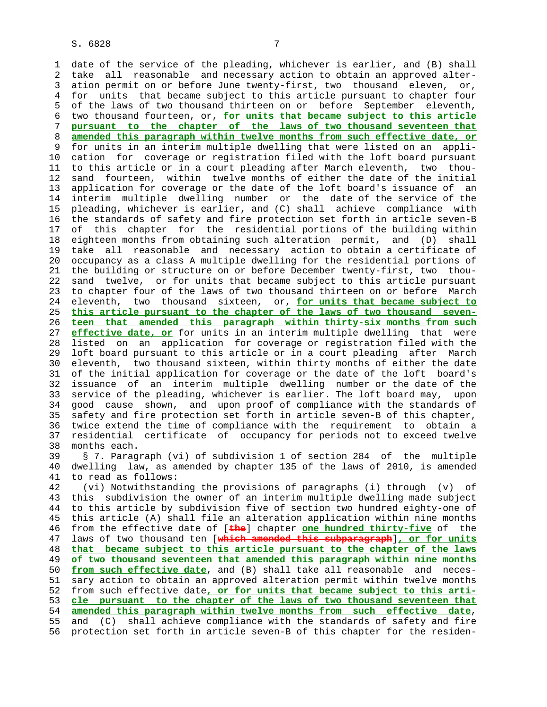1 date of the service of the pleading, whichever is earlier, and (B) shall 2 take all reasonable and necessary action to obtain an approved alter- 3 ation permit on or before June twenty-first, two thousand eleven, or, 4 for units that became subject to this article pursuant to chapter four 5 of the laws of two thousand thirteen on or before September eleventh, 6 two thousand fourteen, or, **for units that became subject to this article** 7 **pursuant to the chapter of the laws of two thousand seventeen that** 8 **amended this paragraph within twelve months from such effective date, or** for units in an interim multiple dwelling that were listed on an appli- 10 cation for coverage or registration filed with the loft board pursuant 11 to this article or in a court pleading after March eleventh, two thou- 12 sand fourteen, within twelve months of either the date of the initial 13 application for coverage or the date of the loft board's issuance of an 14 interim multiple dwelling number or the date of the service of the 15 pleading, whichever is earlier, and (C) shall achieve compliance with 16 the standards of safety and fire protection set forth in article seven-B 17 of this chapter for the residential portions of the building within 18 eighteen months from obtaining such alteration permit, and (D) shall 19 take all reasonable and necessary action to obtain a certificate of 20 occupancy as a class A multiple dwelling for the residential portions of 21 the building or structure on or before December twenty-first, two thou- 22 sand twelve, or for units that became subject to this article pursuant 23 to chapter four of the laws of two thousand thirteen on or before March 24 eleventh, two thousand sixteen, or, **for units that became subject to** 25 **this article pursuant to the chapter of the laws of two thousand seven-** 26 **teen that amended this paragraph within thirty-six months from such** 27 **effective date, or** for units in an interim multiple dwelling that were 28 listed on an application for coverage or registration filed with the 29 loft board pursuant to this article or in a court pleading after March 30 eleventh, two thousand sixteen, within thirty months of either the date 31 of the initial application for coverage or the date of the loft board's 32 issuance of an interim multiple dwelling number or the date of the 33 service of the pleading, whichever is earlier. The loft board may, upon 34 good cause shown, and upon proof of compliance with the standards of 35 safety and fire protection set forth in article seven-B of this chapter, 36 twice extend the time of compliance with the requirement to obtain a 37 residential certificate of occupancy for periods not to exceed twelve 38 months each.

 39 § 7. Paragraph (vi) of subdivision 1 of section 284 of the multiple 40 dwelling law, as amended by chapter 135 of the laws of 2010, is amended 41 to read as follows:

 42 (vi) Notwithstanding the provisions of paragraphs (i) through (v) of 43 this subdivision the owner of an interim multiple dwelling made subject 44 to this article by subdivision five of section two hundred eighty-one of 45 this article (A) shall file an alteration application within nine months 46 from the effective date of [**the**] chapter **one hundred thirty-five** of the 47 laws of two thousand ten [**which amended this subparagraph**]**, or for units** 48 **that became subject to this article pursuant to the chapter of the laws** 49 **of two thousand seventeen that amended this paragraph within nine months** 50 **from such effective date**, and (B) shall take all reasonable and neces- 51 sary action to obtain an approved alteration permit within twelve months 52 from such effective date**, or for units that became subject to this arti-** 53 **cle pursuant to the chapter of the laws of two thousand seventeen that** 54 **amended this paragraph within twelve months from such effective date**, 55 and (C) shall achieve compliance with the standards of safety and fire 56 protection set forth in article seven-B of this chapter for the residen-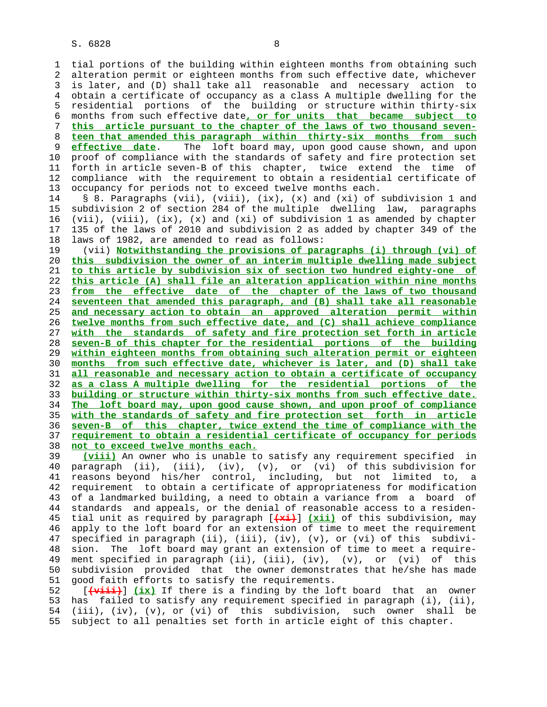1 tial portions of the building within eighteen months from obtaining such 2 alteration permit or eighteen months from such effective date, whichever 3 is later, and (D) shall take all reasonable and necessary action to 4 obtain a certificate of occupancy as a class A multiple dwelling for the 5 residential portions of the building or structure within thirty-six 6 months from such effective date**, or for units that became subject to** 7 **this article pursuant to the chapter of the laws of two thousand seven-** 8 **teen that amended this paragraph within thirty-six months from such effective date**. The loft board may, upon good cause shown, and upon 10 proof of compliance with the standards of safety and fire protection set 11 forth in article seven-B of this chapter, twice extend the time of 12 compliance with the requirement to obtain a residential certificate of 13 occupancy for periods not to exceed twelve months each.

 14 § 8. Paragraphs (vii), (viii), (ix), (x) and (xi) of subdivision 1 and 15 subdivision 2 of section 284 of the multiple dwelling law, paragraphs 16 (vii), (viii), (ix), (x) and (xi) of subdivision 1 as amended by chapter 17 135 of the laws of 2010 and subdivision 2 as added by chapter 349 of the 18 laws of 1982, are amended to read as follows:

 19 (vii) **Notwithstanding the provisions of paragraphs (i) through (vi) of this subdivision the owner of an interim multiple dwelling made subject to this article by subdivision six of section two hundred eighty-one of this article (A) shall file an alteration application within nine months from the effective date of the chapter of the laws of two thousand seventeen that amended this paragraph, and (B) shall take all reasonable and necessary action to obtain an approved alteration permit within twelve months from such effective date, and (C) shall achieve compliance with the standards of safety and fire protection set forth in article seven-B of this chapter for the residential portions of the building within eighteen months from obtaining such alteration permit or eighteen months from such effective date, whichever is later, and (D) shall take all reasonable and necessary action to obtain a certificate of occupancy as a class A multiple dwelling for the residential portions of the building or structure within thirty-six months from such effective date. The loft board may, upon good cause shown, and upon proof of compliance with the standards of safety and fire protection set forth in article seven-B of this chapter, twice extend the time of compliance with the requirement to obtain a residential certificate of occupancy for periods not to exceed twelve months each.**

 39 **(viii)** An owner who is unable to satisfy any requirement specified in 40 paragraph (ii), (iii), (iv), (v), or (vi) of this subdivision for 41 reasons beyond his/her control, including, but not limited to, a 42 requirement to obtain a certificate of appropriateness for modification 43 of a landmarked building, a need to obtain a variance from a board of 44 standards and appeals, or the denial of reasonable access to a residen- 45 tial unit as required by paragraph [**(xi)**] **(xii)** of this subdivision, may 46 apply to the loft board for an extension of time to meet the requirement 47 specified in paragraph (ii), (iii), (iv), (v), or (vi) of this subdivi- 48 sion. The loft board may grant an extension of time to meet a require- 49 ment specified in paragraph (ii), (iii), (iv), (v), or (vi) of this 50 subdivision provided that the owner demonstrates that he/she has made 51 good faith efforts to satisfy the requirements.

 52 [**(viii)**] **(ix)** If there is a finding by the loft board that an owner 53 has failed to satisfy any requirement specified in paragraph (i), (ii), 54 (iii), (iv), (v), or (vi) of this subdivision, such owner shall be 55 subject to all penalties set forth in article eight of this chapter.